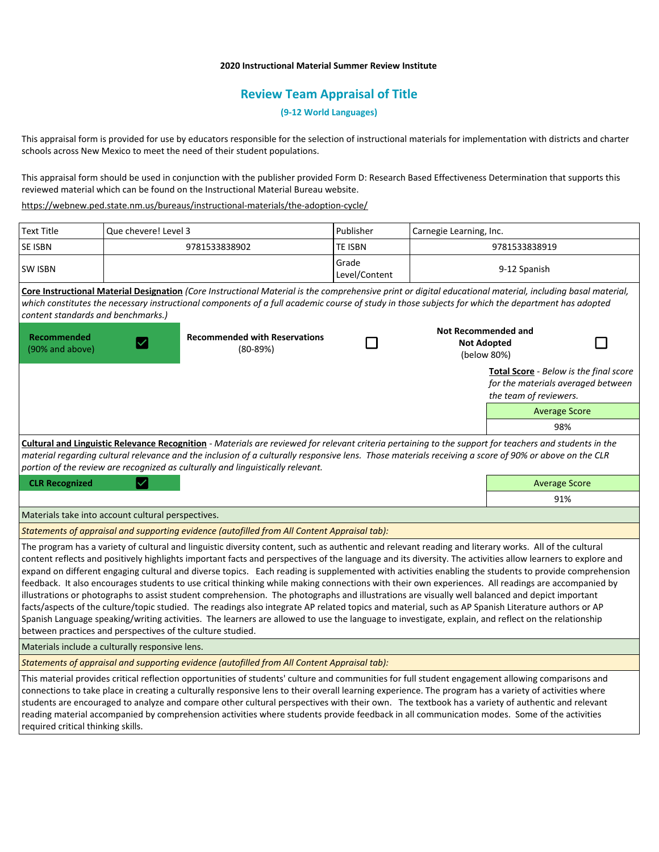## **2020 Instructional Material Summer Review Institute**

## **Review Team Appraisal of Title**

**(9-12 World Languages)**

This appraisal form is provided for use by educators responsible for the selection of instructional materials for implementation with districts and charter schools across New Mexico to meet the need of their student populations.

This appraisal form should be used in conjunction with the publisher provided Form D: Research Based Effectiveness Determination that supports this reviewed material which can be found on the Instructional Material Bureau website.

<https://webnew.ped.state.nm.us/bureaus/instructional-materials/the-adoption-cycle/>

| <b>Text Title</b>                                                                                                                                                                                                                                                                                                                                                                                                                                                                                                                                                                                                                                                                                                                                                                                                                                                                                                                                                                                                                                                                                                                                                    | Que chevere! Level 3 |                                                    | Publisher              | Carnegie Learning, Inc.                                         |                                                                                                               |
|----------------------------------------------------------------------------------------------------------------------------------------------------------------------------------------------------------------------------------------------------------------------------------------------------------------------------------------------------------------------------------------------------------------------------------------------------------------------------------------------------------------------------------------------------------------------------------------------------------------------------------------------------------------------------------------------------------------------------------------------------------------------------------------------------------------------------------------------------------------------------------------------------------------------------------------------------------------------------------------------------------------------------------------------------------------------------------------------------------------------------------------------------------------------|----------------------|----------------------------------------------------|------------------------|-----------------------------------------------------------------|---------------------------------------------------------------------------------------------------------------|
| <b>SE ISBN</b>                                                                                                                                                                                                                                                                                                                                                                                                                                                                                                                                                                                                                                                                                                                                                                                                                                                                                                                                                                                                                                                                                                                                                       | 9781533838902        |                                                    | TE ISBN                | 9781533838919                                                   |                                                                                                               |
| <b>SW ISBN</b>                                                                                                                                                                                                                                                                                                                                                                                                                                                                                                                                                                                                                                                                                                                                                                                                                                                                                                                                                                                                                                                                                                                                                       |                      |                                                    | Grade<br>Level/Content | 9-12 Spanish                                                    |                                                                                                               |
| Core Instructional Material Designation (Core Instructional Material is the comprehensive print or digital educational material, including basal material,<br>which constitutes the necessary instructional components of a full academic course of study in those subjects for which the department has adopted<br>content standards and benchmarks.)                                                                                                                                                                                                                                                                                                                                                                                                                                                                                                                                                                                                                                                                                                                                                                                                               |                      |                                                    |                        |                                                                 |                                                                                                               |
| Recommended<br>(90% and above)                                                                                                                                                                                                                                                                                                                                                                                                                                                                                                                                                                                                                                                                                                                                                                                                                                                                                                                                                                                                                                                                                                                                       | $\vert\!\vee\!\vert$ | <b>Recommended with Reservations</b><br>$(80-89%)$ |                        | <b>Not Recommended and</b><br><b>Not Adopted</b><br>(below 80%) |                                                                                                               |
|                                                                                                                                                                                                                                                                                                                                                                                                                                                                                                                                                                                                                                                                                                                                                                                                                                                                                                                                                                                                                                                                                                                                                                      |                      |                                                    |                        |                                                                 | <b>Total Score</b> - Below is the final score<br>for the materials averaged between<br>the team of reviewers. |
|                                                                                                                                                                                                                                                                                                                                                                                                                                                                                                                                                                                                                                                                                                                                                                                                                                                                                                                                                                                                                                                                                                                                                                      |                      |                                                    |                        |                                                                 | <b>Average Score</b>                                                                                          |
|                                                                                                                                                                                                                                                                                                                                                                                                                                                                                                                                                                                                                                                                                                                                                                                                                                                                                                                                                                                                                                                                                                                                                                      |                      |                                                    |                        |                                                                 | 98%                                                                                                           |
| Cultural and Linguistic Relevance Recognition - Materials are reviewed for relevant criteria pertaining to the support for teachers and students in the<br>material regarding cultural relevance and the inclusion of a culturally responsive lens. Those materials receiving a score of 90% or above on the CLR<br>portion of the review are recognized as culturally and linguistically relevant.                                                                                                                                                                                                                                                                                                                                                                                                                                                                                                                                                                                                                                                                                                                                                                  |                      |                                                    |                        |                                                                 |                                                                                                               |
| <b>CLR Recognized</b>                                                                                                                                                                                                                                                                                                                                                                                                                                                                                                                                                                                                                                                                                                                                                                                                                                                                                                                                                                                                                                                                                                                                                |                      |                                                    |                        |                                                                 | <b>Average Score</b>                                                                                          |
|                                                                                                                                                                                                                                                                                                                                                                                                                                                                                                                                                                                                                                                                                                                                                                                                                                                                                                                                                                                                                                                                                                                                                                      |                      |                                                    |                        |                                                                 | 91%                                                                                                           |
| Materials take into account cultural perspectives.                                                                                                                                                                                                                                                                                                                                                                                                                                                                                                                                                                                                                                                                                                                                                                                                                                                                                                                                                                                                                                                                                                                   |                      |                                                    |                        |                                                                 |                                                                                                               |
| Statements of appraisal and supporting evidence (autofilled from All Content Appraisal tab):                                                                                                                                                                                                                                                                                                                                                                                                                                                                                                                                                                                                                                                                                                                                                                                                                                                                                                                                                                                                                                                                         |                      |                                                    |                        |                                                                 |                                                                                                               |
| The program has a variety of cultural and linguistic diversity content, such as authentic and relevant reading and literary works. All of the cultural<br>content reflects and positively highlights important facts and perspectives of the language and its diversity. The activities allow learners to explore and<br>expand on different engaging cultural and diverse topics. Each reading is supplemented with activities enabling the students to provide comprehension<br>feedback. It also encourages students to use critical thinking while making connections with their own experiences. All readings are accompanied by<br>illustrations or photographs to assist student comprehension. The photographs and illustrations are visually well balanced and depict important<br>facts/aspects of the culture/topic studied. The readings also integrate AP related topics and material, such as AP Spanish Literature authors or AP<br>Spanish Language speaking/writing activities. The learners are allowed to use the language to investigate, explain, and reflect on the relationship<br>between practices and perspectives of the culture studied. |                      |                                                    |                        |                                                                 |                                                                                                               |
| Materials include a culturally responsive lens.                                                                                                                                                                                                                                                                                                                                                                                                                                                                                                                                                                                                                                                                                                                                                                                                                                                                                                                                                                                                                                                                                                                      |                      |                                                    |                        |                                                                 |                                                                                                               |
| Statements of appraisal and supporting evidence (autofilled from All Content Appraisal tab):                                                                                                                                                                                                                                                                                                                                                                                                                                                                                                                                                                                                                                                                                                                                                                                                                                                                                                                                                                                                                                                                         |                      |                                                    |                        |                                                                 |                                                                                                               |
| This material provides critical reflection opportunities of students' culture and communities for full student engagement allowing comparisons and<br>connections to take place in creating a culturally responsive lens to their overall learning experience. The program has a variety of activities where<br>students are encouraged to analyze and compare other cultural perspectives with their own. The textbook has a variety of authentic and relevant<br>reading material accompanied by comprehension activities where students provide feedback in all communication modes. Some of the activities<br>required critical thinking skills.                                                                                                                                                                                                                                                                                                                                                                                                                                                                                                                 |                      |                                                    |                        |                                                                 |                                                                                                               |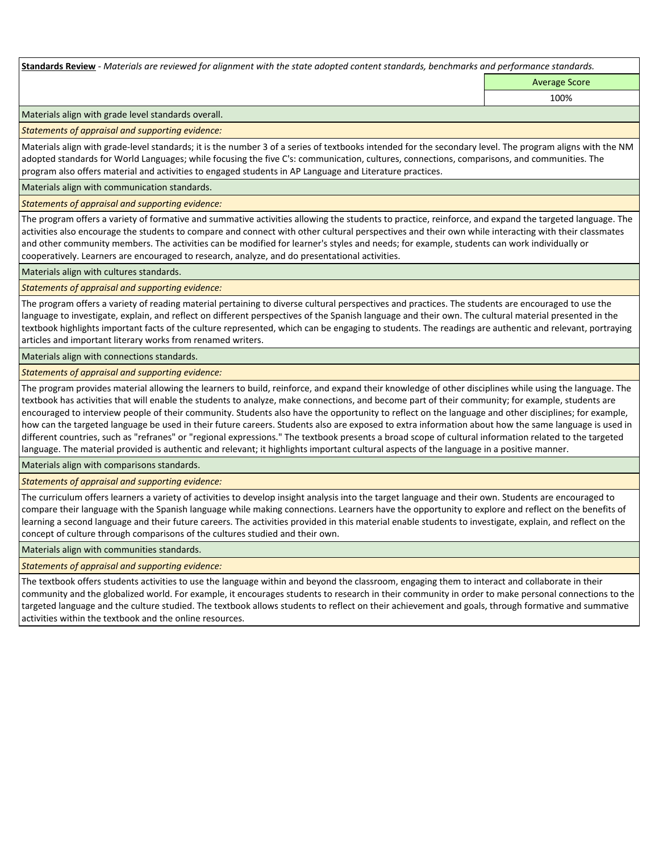**Standards Review** *- Materials are reviewed for alignment with the state adopted content standards, benchmarks and performance standards.*

Average Score

100%

Materials align with grade level standards overall.

*Statements of appraisal and supporting evidence:* 

Materials align with grade-level standards; it is the number 3 of a series of textbooks intended for the secondary level. The program aligns with the NM adopted standards for World Languages; while focusing the five C's: communication, cultures, connections, comparisons, and communities. The program also offers material and activities to engaged students in AP Language and Literature practices.

Materials align with communication standards.

*Statements of appraisal and supporting evidence:* 

The program offers a variety of formative and summative activities allowing the students to practice, reinforce, and expand the targeted language. The activities also encourage the students to compare and connect with other cultural perspectives and their own while interacting with their classmates and other community members. The activities can be modified for learner's styles and needs; for example, students can work individually or cooperatively. Learners are encouraged to research, analyze, and do presentational activities.

Materials align with cultures standards.

*Statements of appraisal and supporting evidence:* 

The program offers a variety of reading material pertaining to diverse cultural perspectives and practices. The students are encouraged to use the language to investigate, explain, and reflect on different perspectives of the Spanish language and their own. The cultural material presented in the textbook highlights important facts of the culture represented, which can be engaging to students. The readings are authentic and relevant, portraying articles and important literary works from renamed writers.

Materials align with connections standards.

*Statements of appraisal and supporting evidence:* 

The program provides material allowing the learners to build, reinforce, and expand their knowledge of other disciplines while using the language. The textbook has activities that will enable the students to analyze, make connections, and become part of their community; for example, students are encouraged to interview people of their community. Students also have the opportunity to reflect on the language and other disciplines; for example, how can the targeted language be used in their future careers. Students also are exposed to extra information about how the same language is used in different countries, such as "refranes" or "regional expressions." The textbook presents a broad scope of cultural information related to the targeted language. The material provided is authentic and relevant; it highlights important cultural aspects of the language in a positive manner.

Materials align with comparisons standards.

*Statements of appraisal and supporting evidence:* 

The curriculum offers learners a variety of activities to develop insight analysis into the target language and their own. Students are encouraged to compare their language with the Spanish language while making connections. Learners have the opportunity to explore and reflect on the benefits of learning a second language and their future careers. The activities provided in this material enable students to investigate, explain, and reflect on the concept of culture through comparisons of the cultures studied and their own.

Materials align with communities standards.

*Statements of appraisal and supporting evidence:* 

The textbook offers students activities to use the language within and beyond the classroom, engaging them to interact and collaborate in their community and the globalized world. For example, it encourages students to research in their community in order to make personal connections to the targeted language and the culture studied. The textbook allows students to reflect on their achievement and goals, through formative and summative activities within the textbook and the online resources.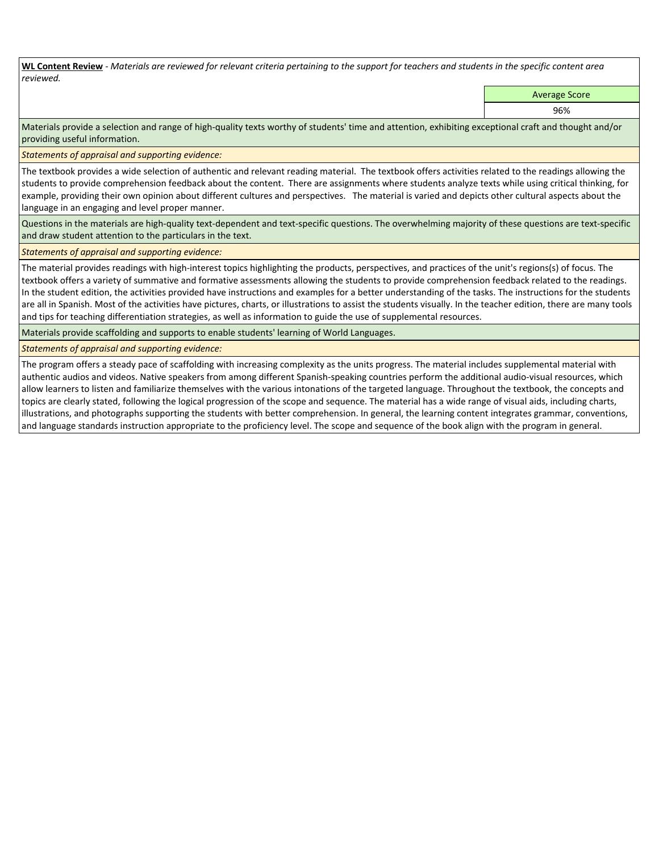**WL Content Review** *- Materials are reviewed for relevant criteria pertaining to the support for teachers and students in the specific content area reviewed.*

Average Score

96%

Materials provide a selection and range of high-quality texts worthy of students' time and attention, exhibiting exceptional craft and thought and/or providing useful information.

*Statements of appraisal and supporting evidence:* 

The textbook provides a wide selection of authentic and relevant reading material. The textbook offers activities related to the readings allowing the students to provide comprehension feedback about the content. There are assignments where students analyze texts while using critical thinking, for example, providing their own opinion about different cultures and perspectives. The material is varied and depicts other cultural aspects about the language in an engaging and level proper manner.

Questions in the materials are high-quality text-dependent and text-specific questions. The overwhelming majority of these questions are text-specific and draw student attention to the particulars in the text.

*Statements of appraisal and supporting evidence:* 

The material provides readings with high-interest topics highlighting the products, perspectives, and practices of the unit's regions(s) of focus. The textbook offers a variety of summative and formative assessments allowing the students to provide comprehension feedback related to the readings. In the student edition, the activities provided have instructions and examples for a better understanding of the tasks. The instructions for the students are all in Spanish. Most of the activities have pictures, charts, or illustrations to assist the students visually. In the teacher edition, there are many tools and tips for teaching differentiation strategies, as well as information to guide the use of supplemental resources.

Materials provide scaffolding and supports to enable students' learning of World Languages.

*Statements of appraisal and supporting evidence:* 

The program offers a steady pace of scaffolding with increasing complexity as the units progress. The material includes supplemental material with authentic audios and videos. Native speakers from among different Spanish-speaking countries perform the additional audio-visual resources, which allow learners to listen and familiarize themselves with the various intonations of the targeted language. Throughout the textbook, the concepts and topics are clearly stated, following the logical progression of the scope and sequence. The material has a wide range of visual aids, including charts, illustrations, and photographs supporting the students with better comprehension. In general, the learning content integrates grammar, conventions, and language standards instruction appropriate to the proficiency level. The scope and sequence of the book align with the program in general.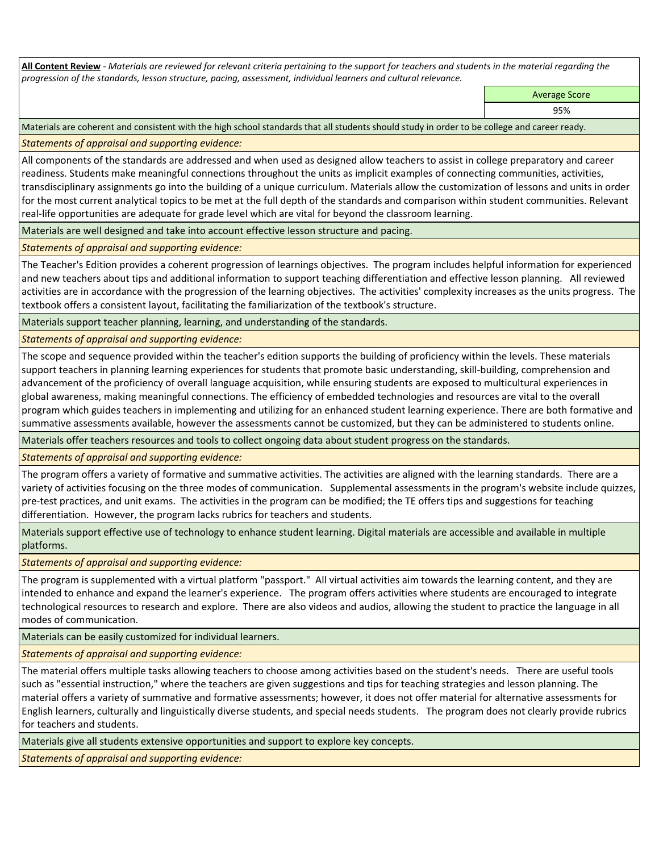**All Content Review** *- Materials are reviewed for relevant criteria pertaining to the support for teachers and students in the material regarding the progression of the standards, lesson structure, pacing, assessment, individual learners and cultural relevance.*

Average Score

95%

Materials are coherent and consistent with the high school standards that all students should study in order to be college and career ready.

*Statements of appraisal and supporting evidence:*

All components of the standards are addressed and when used as designed allow teachers to assist in college preparatory and career readiness. Students make meaningful connections throughout the units as implicit examples of connecting communities, activities, transdisciplinary assignments go into the building of a unique curriculum. Materials allow the customization of lessons and units in order for the most current analytical topics to be met at the full depth of the standards and comparison within student communities. Relevant real-life opportunities are adequate for grade level which are vital for beyond the classroom learning.

Materials are well designed and take into account effective lesson structure and pacing.

*Statements of appraisal and supporting evidence:*

The Teacher's Edition provides a coherent progression of learnings objectives. The program includes helpful information for experienced and new teachers about tips and additional information to support teaching differentiation and effective lesson planning. All reviewed activities are in accordance with the progression of the learning objectives. The activities' complexity increases as the units progress. The textbook offers a consistent layout, facilitating the familiarization of the textbook's structure.

Materials support teacher planning, learning, and understanding of the standards.

*Statements of appraisal and supporting evidence:*

The scope and sequence provided within the teacher's edition supports the building of proficiency within the levels. These materials support teachers in planning learning experiences for students that promote basic understanding, skill-building, comprehension and advancement of the proficiency of overall language acquisition, while ensuring students are exposed to multicultural experiences in global awareness, making meaningful connections. The efficiency of embedded technologies and resources are vital to the overall program which guides teachers in implementing and utilizing for an enhanced student learning experience. There are both formative and summative assessments available, however the assessments cannot be customized, but they can be administered to students online.

Materials offer teachers resources and tools to collect ongoing data about student progress on the standards.

*Statements of appraisal and supporting evidence:*

The program offers a variety of formative and summative activities. The activities are aligned with the learning standards. There are a variety of activities focusing on the three modes of communication. Supplemental assessments in the program's website include quizzes, pre-test practices, and unit exams. The activities in the program can be modified; the TE offers tips and suggestions for teaching differentiation. However, the program lacks rubrics for teachers and students.

Materials support effective use of technology to enhance student learning. Digital materials are accessible and available in multiple platforms.

*Statements of appraisal and supporting evidence:*

The program is supplemented with a virtual platform "passport." All virtual activities aim towards the learning content, and they are intended to enhance and expand the learner's experience. The program offers activities where students are encouraged to integrate technological resources to research and explore. There are also videos and audios, allowing the student to practice the language in all modes of communication.

Materials can be easily customized for individual learners.

*Statements of appraisal and supporting evidence:* 

The material offers multiple tasks allowing teachers to choose among activities based on the student's needs. There are useful tools such as "essential instruction," where the teachers are given suggestions and tips for teaching strategies and lesson planning. The material offers a variety of summative and formative assessments; however, it does not offer material for alternative assessments for English learners, culturally and linguistically diverse students, and special needs students. The program does not clearly provide rubrics for teachers and students.

Materials give all students extensive opportunities and support to explore key concepts.

*Statements of appraisal and supporting evidence:*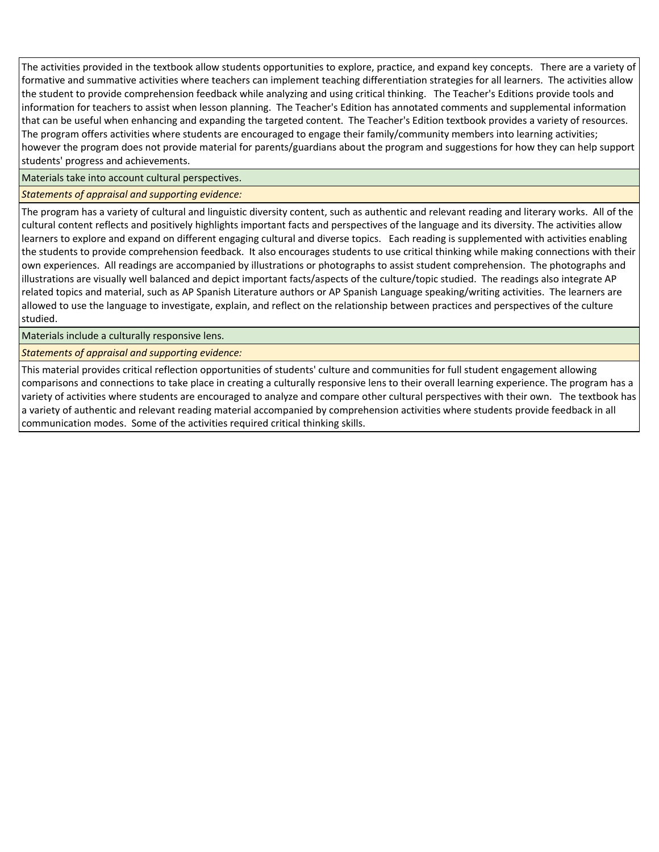The activities provided in the textbook allow students opportunities to explore, practice, and expand key concepts. There are a variety of formative and summative activities where teachers can implement teaching differentiation strategies for all learners. The activities allow the student to provide comprehension feedback while analyzing and using critical thinking. The Teacher's Editions provide tools and information for teachers to assist when lesson planning. The Teacher's Edition has annotated comments and supplemental information that can be useful when enhancing and expanding the targeted content. The Teacher's Edition textbook provides a variety of resources. The program offers activities where students are encouraged to engage their family/community members into learning activities; however the program does not provide material for parents/guardians about the program and suggestions for how they can help support students' progress and achievements.

Materials take into account cultural perspectives.

*Statements of appraisal and supporting evidence:*

The program has a variety of cultural and linguistic diversity content, such as authentic and relevant reading and literary works. All of the cultural content reflects and positively highlights important facts and perspectives of the language and its diversity. The activities allow learners to explore and expand on different engaging cultural and diverse topics. Each reading is supplemented with activities enabling the students to provide comprehension feedback. It also encourages students to use critical thinking while making connections with their own experiences. All readings are accompanied by illustrations or photographs to assist student comprehension. The photographs and illustrations are visually well balanced and depict important facts/aspects of the culture/topic studied. The readings also integrate AP related topics and material, such as AP Spanish Literature authors or AP Spanish Language speaking/writing activities. The learners are allowed to use the language to investigate, explain, and reflect on the relationship between practices and perspectives of the culture studied.

Materials include a culturally responsive lens.

*Statements of appraisal and supporting evidence:*

This material provides critical reflection opportunities of students' culture and communities for full student engagement allowing comparisons and connections to take place in creating a culturally responsive lens to their overall learning experience. The program has a variety of activities where students are encouraged to analyze and compare other cultural perspectives with their own. The textbook has a variety of authentic and relevant reading material accompanied by comprehension activities where students provide feedback in all communication modes. Some of the activities required critical thinking skills.